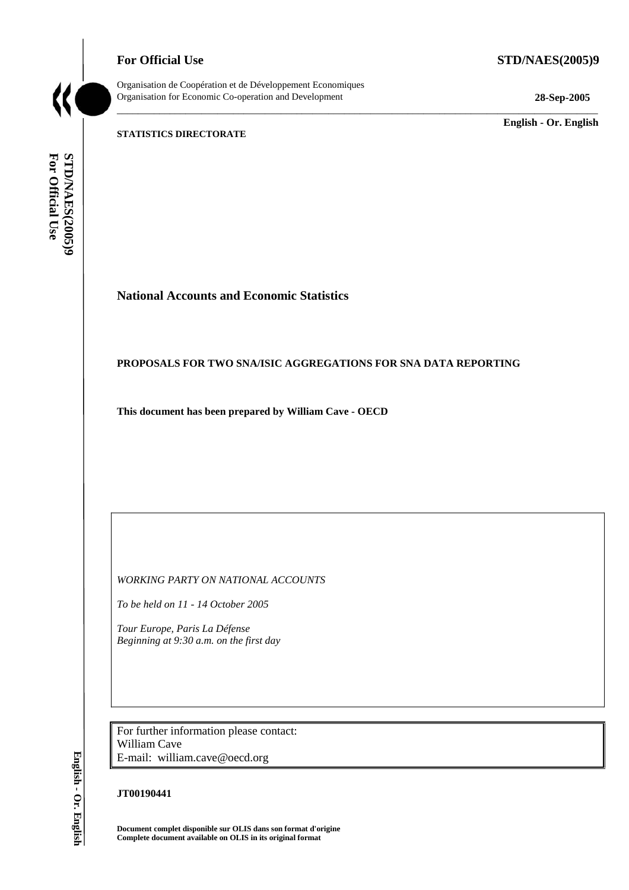**For Official Use STD/NAES(2005)9** 

Organisation de Coopération et de Développement Economiques Organisation for Economic Co-operation and Development **28-Sep-2005** 

\_\_\_\_\_\_\_\_\_\_\_\_\_ **English - Or. English** 

#### **STATISTICS DIRECTORATE**

For Official Use **STD/NAES(2005)9 For Official Use STD/NAES(2005)9 English - Or. English**

### **National Accounts and Economic Statistics**

#### **PROPOSALS FOR TWO SNA/ISIC AGGREGATIONS FOR SNA DATA REPORTING**

\_\_\_\_\_\_\_\_\_\_\_\_\_\_\_\_\_\_\_\_\_\_\_\_\_\_\_\_\_\_\_\_\_\_\_\_\_\_\_\_\_\_\_\_\_\_\_\_\_\_\_\_\_\_\_\_\_\_\_\_\_\_\_\_\_\_\_\_\_\_\_\_\_\_\_\_\_\_\_\_\_\_\_\_\_\_\_\_\_\_\_

**This document has been prepared by William Cave - OECD** 

*WORKING PARTY ON NATIONAL ACCOUNTS* 

*To be held on 11 - 14 October 2005* 

*Tour Europe, Paris La Défense Beginning at 9:30 a.m. on the first day* 

For further information please contact: William Cave E-mail: william.cave@oecd.org

#### **JT00190441**

**Document complet disponible sur OLIS dans son format d'origine Complete document available on OLIS in its original format** 

English - Or. English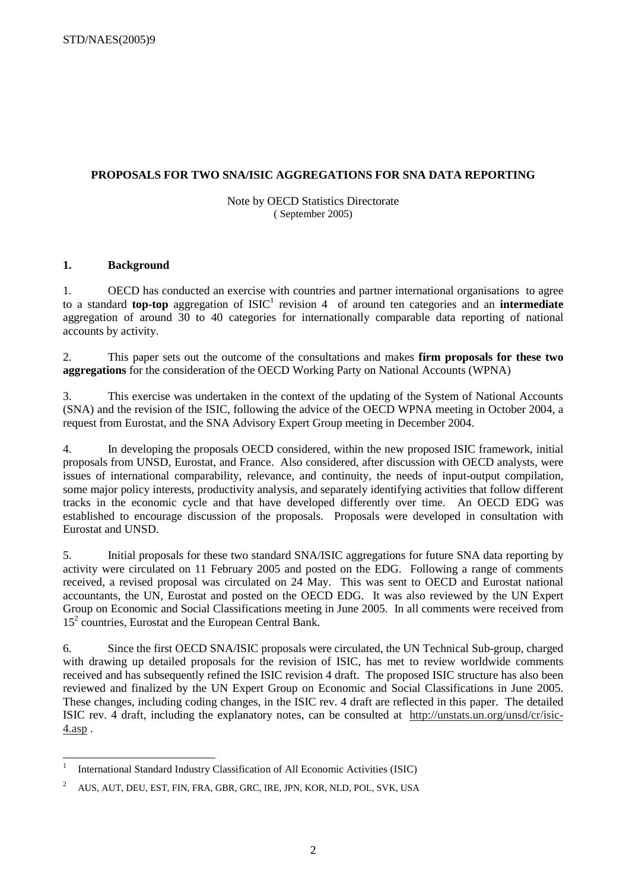#### **PROPOSALS FOR TWO SNA/ISIC AGGREGATIONS FOR SNA DATA REPORTING**

#### Note by OECD Statistics Directorate ( September 2005)

#### **1. Background**

1. OECD has conducted an exercise with countries and partner international organisations to agree to a standard **top-top** aggregation of ISIC<sup>1</sup> revision 4 of around ten categories and an **intermediate** aggregation of around 30 to 40 categories for internationally comparable data reporting of national accounts by activity.

2. This paper sets out the outcome of the consultations and makes **firm proposals for these two aggregations** for the consideration of the OECD Working Party on National Accounts (WPNA)

3. This exercise was undertaken in the context of the updating of the System of National Accounts (SNA) and the revision of the ISIC, following the advice of the OECD WPNA meeting in October 2004, a request from Eurostat, and the SNA Advisory Expert Group meeting in December 2004.

4. In developing the proposals OECD considered, within the new proposed ISIC framework, initial proposals from UNSD, Eurostat, and France. Also considered, after discussion with OECD analysts, were issues of international comparability, relevance, and continuity, the needs of input-output compilation, some major policy interests, productivity analysis, and separately identifying activities that follow different tracks in the economic cycle and that have developed differently over time. An OECD EDG was established to encourage discussion of the proposals. Proposals were developed in consultation with Eurostat and UNSD.

5. Initial proposals for these two standard SNA/ISIC aggregations for future SNA data reporting by activity were circulated on 11 February 2005 and posted on the EDG. Following a range of comments received, a revised proposal was circulated on 24 May. This was sent to OECD and Eurostat national accountants, the UN, Eurostat and posted on the OECD EDG. It was also reviewed by the UN Expert Group on Economic and Social Classifications meeting in June 2005. In all comments were received from 15<sup>2</sup> countries, Eurostat and the European Central Bank.

6. Since the first OECD SNA/ISIC proposals were circulated, the UN Technical Sub-group, charged with drawing up detailed proposals for the revision of ISIC, has met to review worldwide comments received and has subsequently refined the ISIC revision 4 draft. The proposed ISIC structure has also been reviewed and finalized by the UN Expert Group on Economic and Social Classifications in June 2005. These changes, including coding changes, in the ISIC rev. 4 draft are reflected in this paper. The detailed ISIC rev. 4 draft, including the explanatory notes, can be consulted at http://unstats.un.org/unsd/cr/isic-4.asp .

<sup>|&</sup>lt;br>|<br>| International Standard Industry Classification of All Economic Activities (ISIC)

<sup>&</sup>lt;sup>2</sup> AUS, AUT, DEU, EST, FIN, FRA, GBR, GRC, IRE, JPN, KOR, NLD, POL, SVK, USA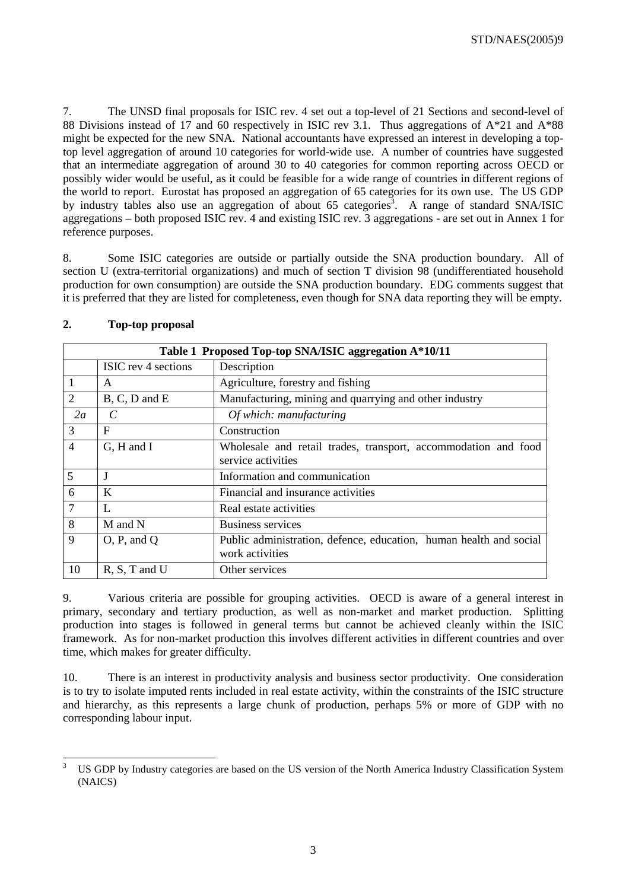7. The UNSD final proposals for ISIC rev. 4 set out a top-level of 21 Sections and second-level of 88 Divisions instead of 17 and 60 respectively in ISIC rev 3.1. Thus aggregations of A\*21 and A\*88 might be expected for the new SNA. National accountants have expressed an interest in developing a toptop level aggregation of around 10 categories for world-wide use. A number of countries have suggested that an intermediate aggregation of around 30 to 40 categories for common reporting across OECD or possibly wider would be useful, as it could be feasible for a wide range of countries in different regions of the world to report. Eurostat has proposed an aggregation of 65 categories for its own use. The US GDP by industry tables also use an aggregation of about 65 categories<sup>3</sup>. A range of standard SNA/ISIC aggregations – both proposed ISIC rev. 4 and existing ISIC rev. 3 aggregations - are set out in Annex 1 for reference purposes.

8. Some ISIC categories are outside or partially outside the SNA production boundary. All of section U (extra-territorial organizations) and much of section T division 98 (undifferentiated household production for own consumption) are outside the SNA production boundary. EDG comments suggest that it is preferred that they are listed for completeness, even though for SNA data reporting they will be empty.

|                |                     | Table 1 Proposed Top-top SNA/ISIC aggregation A*10/11                                 |
|----------------|---------------------|---------------------------------------------------------------------------------------|
|                | ISIC rev 4 sections | Description                                                                           |
|                | A                   | Agriculture, forestry and fishing                                                     |
| 2              | $B, C, D$ and $E$   | Manufacturing, mining and quarrying and other industry                                |
| 2a             | C                   | Of which: manufacturing                                                               |
| 3              | F                   | Construction                                                                          |
| $\overline{4}$ | G, H and I          | Wholesale and retail trades, transport, accommodation and food<br>service activities  |
| 5              | J                   | Information and communication                                                         |
| 6              | K                   | Financial and insurance activities                                                    |
| $\overline{7}$ | L                   | Real estate activities                                                                |
| 8              | M and N             | <b>Business services</b>                                                              |
| 9              | O, P, and Q         | Public administration, defence, education, human health and social<br>work activities |
| 10             | $R, S, T$ and U     | Other services                                                                        |

#### **2. Top-top proposal**

9. Various criteria are possible for grouping activities. OECD is aware of a general interest in primary, secondary and tertiary production, as well as non-market and market production. Splitting production into stages is followed in general terms but cannot be achieved cleanly within the ISIC framework. As for non-market production this involves different activities in different countries and over time, which makes for greater difficulty.

10. There is an interest in productivity analysis and business sector productivity. One consideration is to try to isolate imputed rents included in real estate activity, within the constraints of the ISIC structure and hierarchy, as this represents a large chunk of production, perhaps 5% or more of GDP with no corresponding labour input.

 3 US GDP by Industry categories are based on the US version of the North America Industry Classification System (NAICS)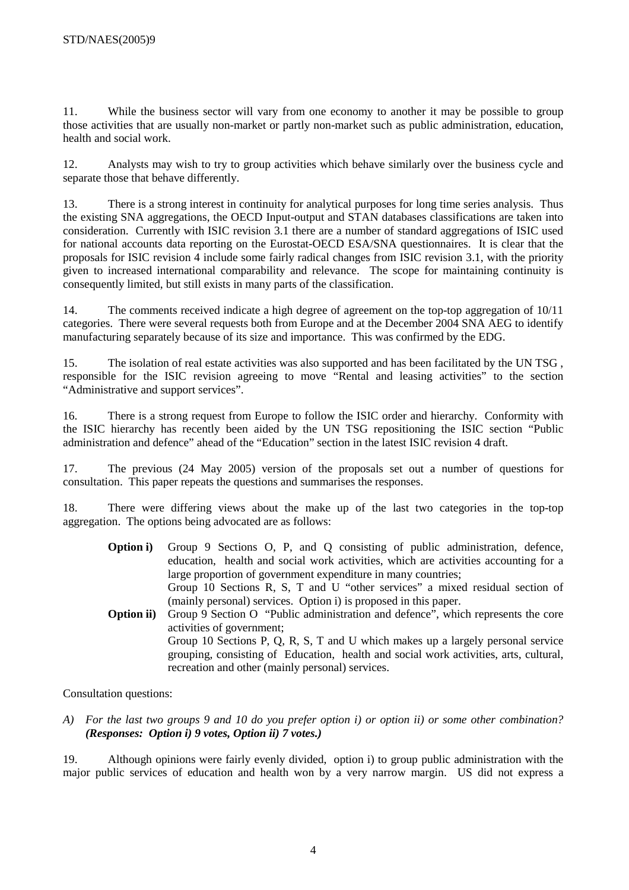11. While the business sector will vary from one economy to another it may be possible to group those activities that are usually non-market or partly non-market such as public administration, education, health and social work.

12. Analysts may wish to try to group activities which behave similarly over the business cycle and separate those that behave differently.

13. There is a strong interest in continuity for analytical purposes for long time series analysis. Thus the existing SNA aggregations, the OECD Input-output and STAN databases classifications are taken into consideration. Currently with ISIC revision 3.1 there are a number of standard aggregations of ISIC used for national accounts data reporting on the Eurostat-OECD ESA/SNA questionnaires. It is clear that the proposals for ISIC revision 4 include some fairly radical changes from ISIC revision 3.1, with the priority given to increased international comparability and relevance. The scope for maintaining continuity is consequently limited, but still exists in many parts of the classification.

14. The comments received indicate a high degree of agreement on the top-top aggregation of 10/11 categories. There were several requests both from Europe and at the December 2004 SNA AEG to identify manufacturing separately because of its size and importance. This was confirmed by the EDG.

15. The isolation of real estate activities was also supported and has been facilitated by the UN TSG , responsible for the ISIC revision agreeing to move "Rental and leasing activities" to the section "Administrative and support services".

16. There is a strong request from Europe to follow the ISIC order and hierarchy. Conformity with the ISIC hierarchy has recently been aided by the UN TSG repositioning the ISIC section "Public administration and defence" ahead of the "Education" section in the latest ISIC revision 4 draft.

17. The previous (24 May 2005) version of the proposals set out a number of questions for consultation. This paper repeats the questions and summarises the responses.

18. There were differing views about the make up of the last two categories in the top-top aggregation. The options being advocated are as follows:

- **Option i)** Group 9 Sections O, P, and Q consisting of public administration, defence, education, health and social work activities, which are activities accounting for a large proportion of government expenditure in many countries; Group 10 Sections R, S, T and U "other services" a mixed residual section of
- (mainly personal) services. Option i) is proposed in this paper. **Option ii)** Group 9 Section O "Public administration and defence", which represents the core activities of government; Group 10 Sections P, Q, R, S, T and U which makes up a largely personal service grouping, consisting of Education, health and social work activities, arts, cultural, recreation and other (mainly personal) services.

Consultation questions:

*A) For the last two groups 9 and 10 do you prefer option i) or option ii) or some other combination? (Responses: Option i) 9 votes, Option ii) 7 votes.)* 

19. Although opinions were fairly evenly divided, option i) to group public administration with the major public services of education and health won by a very narrow margin. US did not express a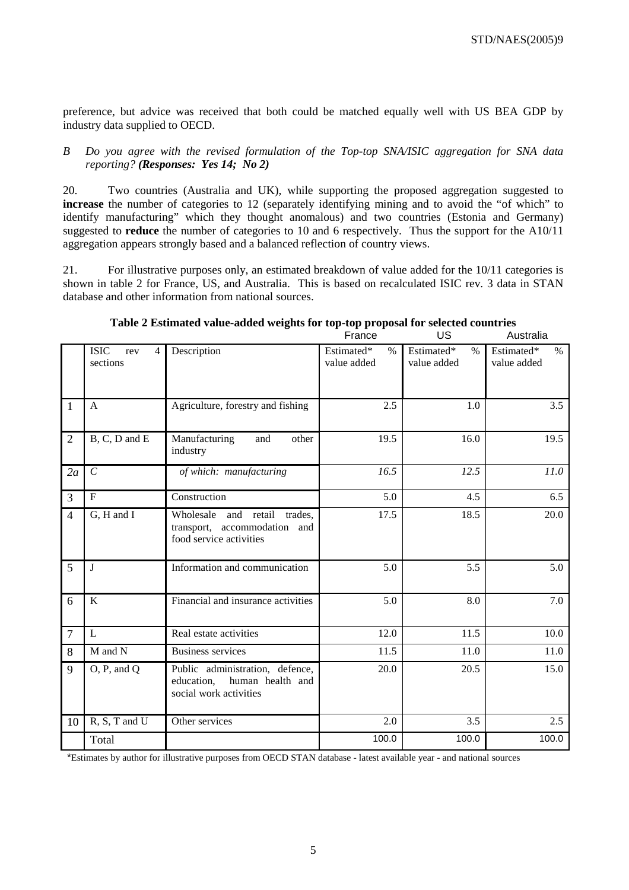preference, but advice was received that both could be matched equally well with US BEA GDP by industry data supplied to OECD.

#### *B Do you agree with the revised formulation of the Top-top SNA/ISIC aggregation for SNA data reporting? (Responses: Yes 14; No 2)*

20. Two countries (Australia and UK), while supporting the proposed aggregation suggested to **increase** the number of categories to 12 (separately identifying mining and to avoid the "of which" to identify manufacturing" which they thought anomalous) and two countries (Estonia and Germany) suggested to **reduce** the number of categories to 10 and 6 respectively. Thus the support for the A10/11 aggregation appears strongly based and a balanced reflection of country views.

21. For illustrative purposes only, an estimated breakdown of value added for the 10/11 categories is shown in table 2 for France, US, and Australia. This is based on recalculated ISIC rev. 3 data in STAN database and other information from national sources.

|                |                                                  |                                                                                             | France                            | US                                | Australia                         |
|----------------|--------------------------------------------------|---------------------------------------------------------------------------------------------|-----------------------------------|-----------------------------------|-----------------------------------|
|                | <b>ISIC</b><br>$\overline{4}$<br>rev<br>sections | Description                                                                                 | Estimated*<br>$\%$<br>value added | Estimated*<br>$\%$<br>value added | Estimated*<br>$\%$<br>value added |
| $\mathbf{1}$   | A                                                | Agriculture, forestry and fishing                                                           | 2.5                               | 1.0                               | 3.5                               |
| $\overline{2}$ | B, C, D and E                                    | Manufacturing<br>other<br>and<br>industry                                                   | 19.5                              | 16.0                              | 19.5                              |
| 2a             | $\overline{C}$                                   | of which: manufacturing                                                                     | 16.5                              | 12.5                              | 11.0                              |
| 3              | $\mathbf F$                                      | Construction                                                                                | 5.0                               | 4.5                               | 6.5                               |
| $\overline{4}$ | $\overline{G}$ , H and I                         | Wholesale and retail<br>trades,<br>transport, accommodation and<br>food service activities  | 17.5                              | 18.5                              | 20.0                              |
| 5              | $\mathbf{J}$                                     | Information and communication                                                               | 5.0                               | 5.5                               | 5.0                               |
| 6              | K                                                | Financial and insurance activities                                                          | 5.0                               | 8.0                               | 7.0                               |
| $\overline{7}$ | $\mathbf{L}$                                     | Real estate activities                                                                      | 12.0                              | 11.5                              | 10.0                              |
| 8              | M and N                                          | <b>Business services</b>                                                                    | 11.5                              | 11.0                              | 11.0                              |
| 9              | O, P, and Q                                      | Public administration, defence,<br>education,<br>human health and<br>social work activities | 20.0                              | 20.5                              | 15.0                              |
| 10             | R, S, T and U                                    | Other services                                                                              | 2.0                               | 3.5                               | 2.5                               |
|                | Total                                            |                                                                                             | 100.0                             | 100.0                             | 100.0                             |

#### **Table 2 Estimated value-added weights for top-top proposal for selected countries**

\*Estimates by author for illustrative purposes from OECD STAN database - latest available year - and national sources

#### 5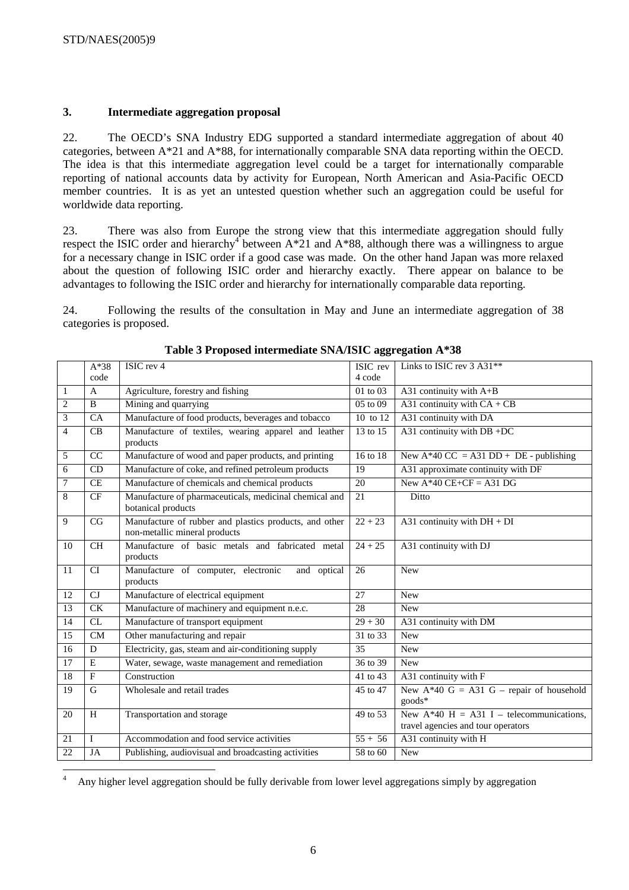$\overline{a}$ 

#### **3. Intermediate aggregation proposal**

22. The OECD's SNA Industry EDG supported a standard intermediate aggregation of about 40 categories, between  $A^*21$  and  $A^*88$ , for internationally comparable SNA data reporting within the OECD. The idea is that this intermediate aggregation level could be a target for internationally comparable reporting of national accounts data by activity for European, North American and Asia-Pacific OECD member countries. It is as yet an untested question whether such an aggregation could be useful for worldwide data reporting.

23. There was also from Europe the strong view that this intermediate aggregation should fully respect the ISIC order and hierarchy<sup>4</sup> between  $A*21$  and  $A*88$ , although there was a willingness to argue for a necessary change in ISIC order if a good case was made. On the other hand Japan was more relaxed about the question of following ISIC order and hierarchy exactly. There appear on balance to be advantages to following the ISIC order and hierarchy for internationally comparable data reporting.

24. Following the results of the consultation in May and June an intermediate aggregation of 38 categories is proposed.

|                | $A*38$         | ISIC rev 4                                                                              | ISIC rev     | Links to ISIC rev 3 A31**                                                        |
|----------------|----------------|-----------------------------------------------------------------------------------------|--------------|----------------------------------------------------------------------------------|
|                | code           |                                                                                         | 4 code       |                                                                                  |
| $\mathbf{1}$   | $\mathbf{A}$   | Agriculture, forestry and fishing                                                       | 01 to 03     | A31 continuity with $A+B$                                                        |
| 2              | B              | Mining and quarrying                                                                    | $05$ to $09$ | A31 continuity with $CA + CB$                                                    |
| 3              | CA             | Manufacture of food products, beverages and tobacco                                     | 10 to 12     | A31 continuity with DA                                                           |
| $\overline{4}$ | CB             | Manufacture of textiles, wearing apparel and leather<br>products                        | 13 to 15     | A31 continuity with DB +DC                                                       |
| 5              | CC             | Manufacture of wood and paper products, and printing                                    | 16 to 18     | New A*40 CC = A31 DD + DE - publishing                                           |
| 6              | CD             | Manufacture of coke, and refined petroleum products                                     | 19           | A31 approximate continuity with DF                                               |
| $\overline{7}$ | <b>CE</b>      | Manufacture of chemicals and chemical products                                          | 20           | New $A*40$ CE+CF = A31 DG                                                        |
| 8              | CF             | Manufacture of pharmaceuticals, medicinal chemical and<br>botanical products            | 21           | Ditto                                                                            |
| 9              | CG             | Manufacture of rubber and plastics products, and other<br>non-metallic mineral products | $22 + 23$    | A31 continuity with $DH + DI$                                                    |
| 10             | CH             | Manufacture of basic metals and fabricated metal<br>products                            | $24 + 25$    | A31 continuity with DJ                                                           |
| 11             | CI             | Manufacture of computer, electronic<br>and optical<br>products                          | 26           | <b>New</b>                                                                       |
| 12             | CJ             | Manufacture of electrical equipment                                                     | 27           | <b>New</b>                                                                       |
| 13             | CK             | Manufacture of machinery and equipment n.e.c.                                           | 28           | <b>New</b>                                                                       |
| 14             | CL             | Manufacture of transport equipment                                                      | $29 + 30$    | A31 continuity with DM                                                           |
| 15             | <b>CM</b>      | Other manufacturing and repair                                                          | 31 to 33     | <b>New</b>                                                                       |
| 16             | D              | Electricity, gas, steam and air-conditioning supply                                     | 35           | <b>New</b>                                                                       |
| 17             | $\overline{E}$ | Water, sewage, waste management and remediation                                         | 36 to 39     | <b>New</b>                                                                       |
| 18             | F              | Construction                                                                            | 41 to 43     | A31 continuity with F                                                            |
| 19             | G              | Wholesale and retail trades                                                             | 45 to 47     | New $A*40 G = A31 G$ – repair of household<br>goods*                             |
| 20             | H              | Transportation and storage                                                              | 49 to 53     | New $A*40$ H = A31 I – telecommunications,<br>travel agencies and tour operators |
| 21             | $\mathbf I$    | Accommodation and food service activities                                               | $55 + 56$    | A31 continuity with H                                                            |
| 22             | JA             | Publishing, audiovisual and broadcasting activities                                     | 58 to 60     | <b>New</b>                                                                       |

#### **Table 3 Proposed intermediate SNA/ISIC aggregation A\*38**

4 Any higher level aggregation should be fully derivable from lower level aggregations simply by aggregation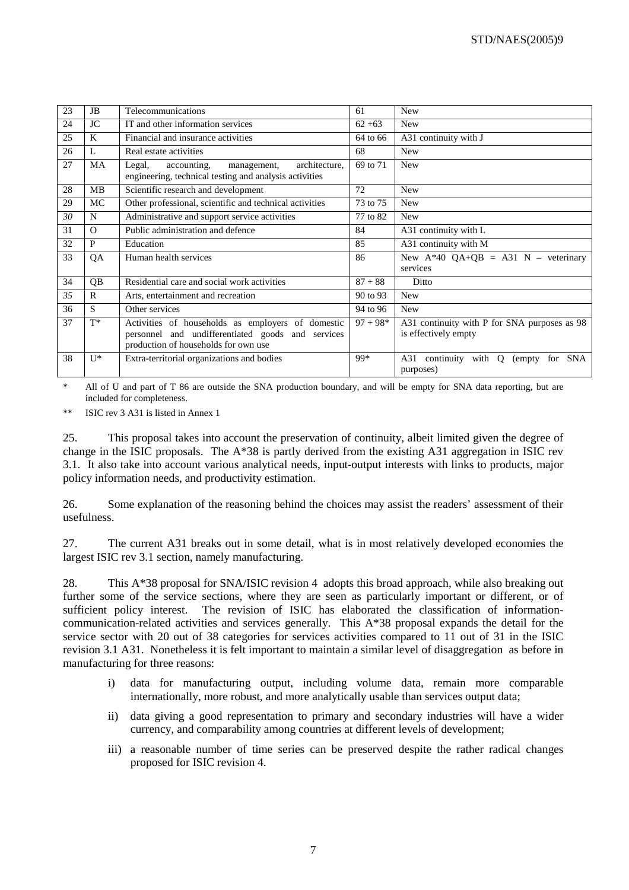| 23 | JB       | Telecommunications                                                                                                                             | 61         | <b>New</b>                                                            |
|----|----------|------------------------------------------------------------------------------------------------------------------------------------------------|------------|-----------------------------------------------------------------------|
| 24 | JC       | IT and other information services                                                                                                              | $62 + 63$  | <b>New</b>                                                            |
| 25 | K        | Financial and insurance activities                                                                                                             | 64 to 66   | A31 continuity with J                                                 |
| 26 | L        | Real estate activities                                                                                                                         | 68         | <b>New</b>                                                            |
| 27 | MA       | Legal,<br>architecture,<br>accounting,<br>management,<br>engineering, technical testing and analysis activities                                | 69 to 71   | <b>New</b>                                                            |
| 28 | MВ       | Scientific research and development                                                                                                            | 72         | <b>New</b>                                                            |
| 29 | MC       | Other professional, scientific and technical activities                                                                                        | 73 to 75   | <b>New</b>                                                            |
| 30 | N        | Administrative and support service activities                                                                                                  | 77 to 82   | <b>New</b>                                                            |
| 31 | $\Omega$ | Public administration and defence                                                                                                              | 84         | A31 continuity with L                                                 |
| 32 | P        | Education                                                                                                                                      | 85         | A31 continuity with M                                                 |
| 33 | QA       | Human health services                                                                                                                          | 86         | New $A*40$ QA+QB = A31 N – veterinary<br>services                     |
| 34 | QB       | Residential care and social work activities                                                                                                    | $87 + 88$  | Ditto                                                                 |
| 35 | R        | Arts, entertainment and recreation                                                                                                             | 90 to 93   | <b>New</b>                                                            |
| 36 | S.       | Other services                                                                                                                                 | 94 to 96   | <b>New</b>                                                            |
| 37 | $T^*$    | Activities of households as employers of domestic<br>personnel and undifferentiated goods and services<br>production of households for own use | $97 + 98*$ | A31 continuity with P for SNA purposes as 98<br>is effectively empty  |
| 38 | $U^*$    | Extra-territorial organizations and bodies                                                                                                     | 99*        | continuity with Q<br>A31<br><b>SNA</b><br>(empty)<br>for<br>purposes) |

All of U and part of T 86 are outside the SNA production boundary, and will be empty for SNA data reporting, but are included for completeness.

\*\* ISIC rev 3 A31 is listed in Annex 1

25. This proposal takes into account the preservation of continuity, albeit limited given the degree of change in the ISIC proposals. The A\*38 is partly derived from the existing A31 aggregation in ISIC rev 3.1. It also take into account various analytical needs, input-output interests with links to products, major policy information needs, and productivity estimation.

26. Some explanation of the reasoning behind the choices may assist the readers' assessment of their usefulness.

27. The current A31 breaks out in some detail, what is in most relatively developed economies the largest ISIC rev 3.1 section, namely manufacturing.

28. This A\*38 proposal for SNA/ISIC revision 4 adopts this broad approach, while also breaking out further some of the service sections, where they are seen as particularly important or different, or of sufficient policy interest. The revision of ISIC has elaborated the classification of informationcommunication-related activities and services generally. This A\*38 proposal expands the detail for the service sector with 20 out of 38 categories for services activities compared to 11 out of 31 in the ISIC revision 3.1 A31. Nonetheless it is felt important to maintain a similar level of disaggregation as before in manufacturing for three reasons:

- i) data for manufacturing output, including volume data, remain more comparable internationally, more robust, and more analytically usable than services output data;
- ii) data giving a good representation to primary and secondary industries will have a wider currency, and comparability among countries at different levels of development;
- iii) a reasonable number of time series can be preserved despite the rather radical changes proposed for ISIC revision 4.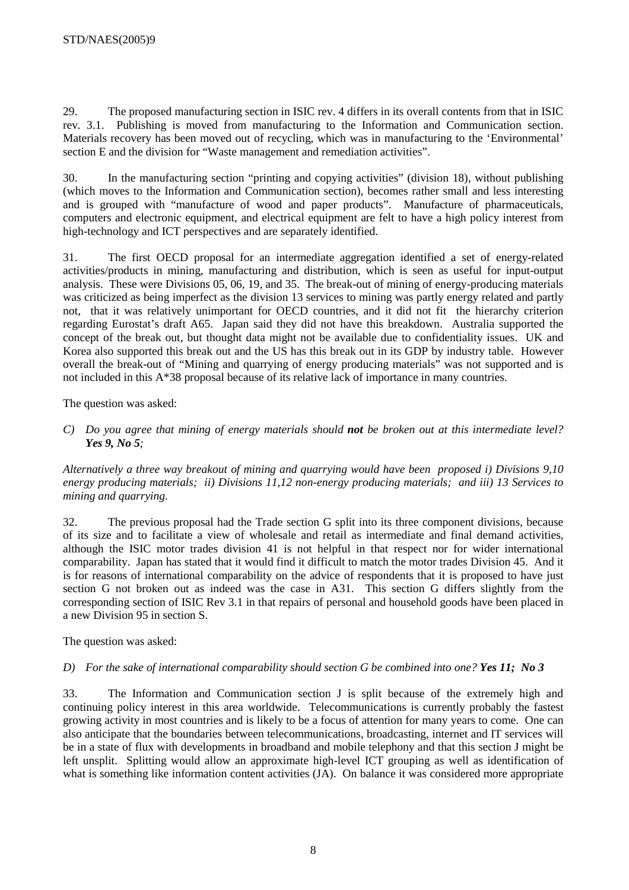29. The proposed manufacturing section in ISIC rev. 4 differs in its overall contents from that in ISIC rev. 3.1. Publishing is moved from manufacturing to the Information and Communication section. Materials recovery has been moved out of recycling, which was in manufacturing to the 'Environmental' section E and the division for "Waste management and remediation activities".

30. In the manufacturing section "printing and copying activities" (division 18), without publishing (which moves to the Information and Communication section), becomes rather small and less interesting and is grouped with "manufacture of wood and paper products". Manufacture of pharmaceuticals, computers and electronic equipment, and electrical equipment are felt to have a high policy interest from high-technology and ICT perspectives and are separately identified.

31. The first OECD proposal for an intermediate aggregation identified a set of energy-related activities/products in mining, manufacturing and distribution, which is seen as useful for input-output analysis. These were Divisions 05, 06, 19, and 35. The break-out of mining of energy-producing materials was criticized as being imperfect as the division 13 services to mining was partly energy related and partly not, that it was relatively unimportant for OECD countries, and it did not fit the hierarchy criterion regarding Eurostat's draft A65. Japan said they did not have this breakdown. Australia supported the concept of the break out, but thought data might not be available due to confidentiality issues. UK and Korea also supported this break out and the US has this break out in its GDP by industry table. However overall the break-out of "Mining and quarrying of energy producing materials" was not supported and is not included in this A\*38 proposal because of its relative lack of importance in many countries.

The question was asked:

*C) Do you agree that mining of energy materials should not be broken out at this intermediate level? Yes 9, No 5;* 

*Alternatively a three way breakout of mining and quarrying would have been proposed i) Divisions 9,10 energy producing materials; ii) Divisions 11,12 non-energy producing materials; and iii) 13 Services to mining and quarrying.* 

32. The previous proposal had the Trade section G split into its three component divisions, because of its size and to facilitate a view of wholesale and retail as intermediate and final demand activities, although the ISIC motor trades division 41 is not helpful in that respect nor for wider international comparability. Japan has stated that it would find it difficult to match the motor trades Division 45. And it is for reasons of international comparability on the advice of respondents that it is proposed to have just section G not broken out as indeed was the case in A31. This section G differs slightly from the corresponding section of ISIC Rev 3.1 in that repairs of personal and household goods have been placed in a new Division 95 in section S.

The question was asked:

#### *D)* For the sake of international comparability should section G be combined into one? Yes 11: No 3

33. The Information and Communication section J is split because of the extremely high and continuing policy interest in this area worldwide. Telecommunications is currently probably the fastest growing activity in most countries and is likely to be a focus of attention for many years to come. One can also anticipate that the boundaries between telecommunications, broadcasting, internet and IT services will be in a state of flux with developments in broadband and mobile telephony and that this section J might be left unsplit. Splitting would allow an approximate high-level ICT grouping as well as identification of what is something like information content activities (JA). On balance it was considered more appropriate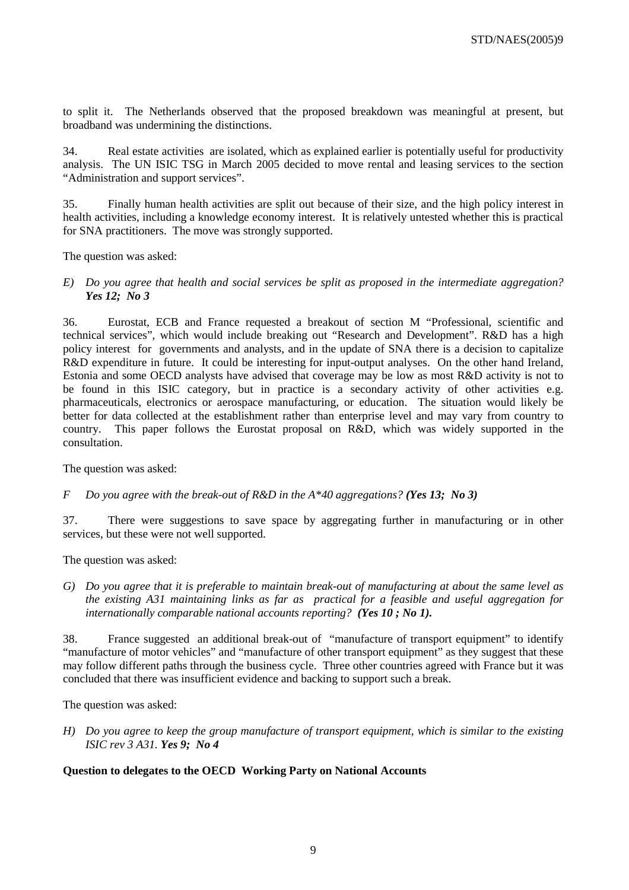to split it. The Netherlands observed that the proposed breakdown was meaningful at present, but broadband was undermining the distinctions.

34. Real estate activities are isolated, which as explained earlier is potentially useful for productivity analysis. The UN ISIC TSG in March 2005 decided to move rental and leasing services to the section "Administration and support services".

35. Finally human health activities are split out because of their size, and the high policy interest in health activities, including a knowledge economy interest. It is relatively untested whether this is practical for SNA practitioners. The move was strongly supported.

The question was asked:

*E) Do you agree that health and social services be split as proposed in the intermediate aggregation? Yes 12; No 3*

36. Eurostat, ECB and France requested a breakout of section M "Professional, scientific and technical services", which would include breaking out "Research and Development". R&D has a high policy interest for governments and analysts, and in the update of SNA there is a decision to capitalize R&D expenditure in future. It could be interesting for input-output analyses. On the other hand Ireland, Estonia and some OECD analysts have advised that coverage may be low as most R&D activity is not to be found in this ISIC category, but in practice is a secondary activity of other activities e.g. pharmaceuticals, electronics or aerospace manufacturing, or education. The situation would likely be better for data collected at the establishment rather than enterprise level and may vary from country to country. This paper follows the Eurostat proposal on R&D, which was widely supported in the consultation.

The question was asked:

*F Do you agree with the break-out of R&D in the A\*40 aggregations? (Yes 13; No 3)* 

37. There were suggestions to save space by aggregating further in manufacturing or in other services, but these were not well supported.

The question was asked:

*G) Do you agree that it is preferable to maintain break-out of manufacturing at about the same level as the existing A31 maintaining links as far as practical for a feasible and useful aggregation for internationally comparable national accounts reporting? (Yes 10 ; No 1).*

38. France suggested an additional break-out of "manufacture of transport equipment" to identify "manufacture of motor vehicles" and "manufacture of other transport equipment" as they suggest that these may follow different paths through the business cycle. Three other countries agreed with France but it was concluded that there was insufficient evidence and backing to support such a break.

The question was asked:

*H) Do you agree to keep the group manufacture of transport equipment, which is similar to the existing ISIC rev 3 A31. Yes 9; No 4* 

#### **Question to delegates to the OECD Working Party on National Accounts**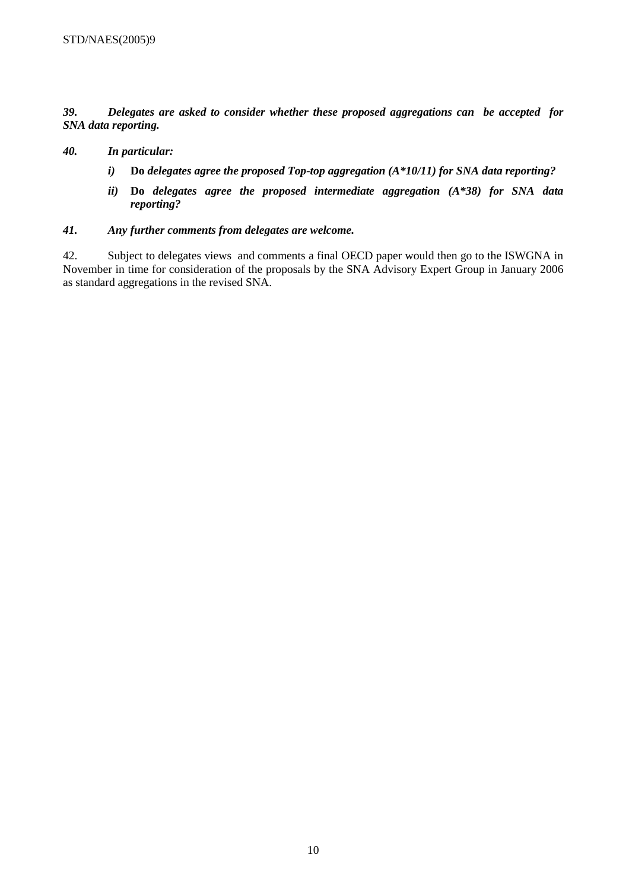*39. Delegates are asked to consider whether these proposed aggregations can be accepted for SNA data reporting.* 

#### *40. In particular:*

- *i)* **Do** *delegates agree the proposed Top-top aggregation (A\*10/11) for SNA data reporting?*
- *ii)* **Do** *delegates agree the proposed intermediate aggregation (A\*38) for SNA data reporting?*

#### *41. Any further comments from delegates are welcome.*

42. Subject to delegates views and comments a final OECD paper would then go to the ISWGNA in November in time for consideration of the proposals by the SNA Advisory Expert Group in January 2006 as standard aggregations in the revised SNA.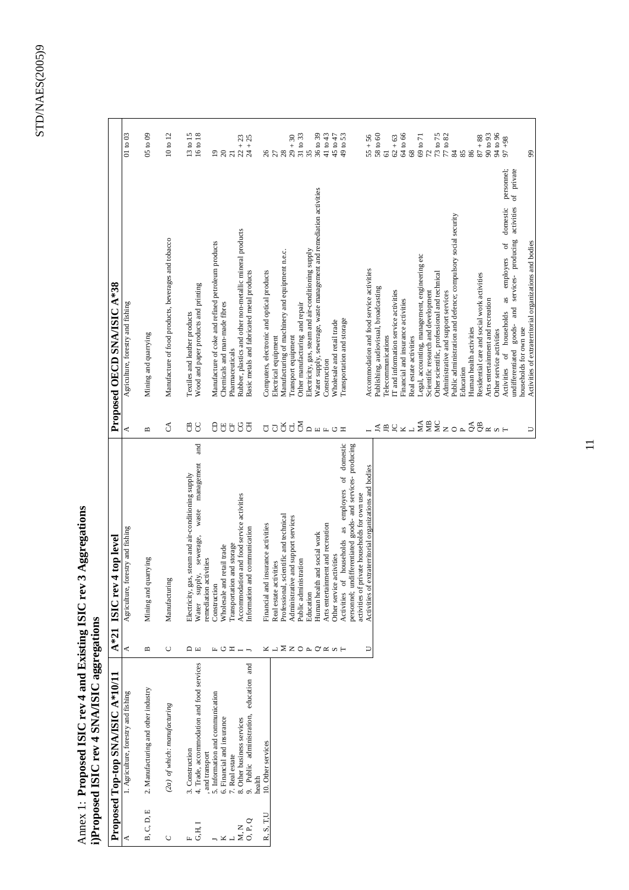$\mathbf{r}$ 

# Annex 1: Proposed ISIC rev 4 and Existing ISIC rev 3 Aggregations<br>i)Proposed ISIC rev 4 SNA/ISIC aggregations Annex 1: **Proposed ISIC rev 4 and Existing ISIC rev 3 Aggregations i)Proposed ISIC rev 4 SNA/ISIC aggregations**

|                                                     | Proposed Top-top SNA/ISIC A*10/11                            | $A*21$                     | rev 4 top level<br><b>ISIC</b>                                                                                          |                             | Proposed OECD SNA/ISIC A*38                                                                                        |                                                                       |
|-----------------------------------------------------|--------------------------------------------------------------|----------------------------|-------------------------------------------------------------------------------------------------------------------------|-----------------------------|--------------------------------------------------------------------------------------------------------------------|-----------------------------------------------------------------------|
|                                                     | 1. Agriculture, forestry and fishing                         | ≺                          | Agriculture, forestry and fishing                                                                                       | ≺                           | Agriculture, forestry and fishing                                                                                  | 01 to 03                                                              |
| B, C, D, E                                          | 2. Manufacturing and other industry                          | Б                          | and quarrying<br>Mining                                                                                                 | $\mathbf{u}$                | Mining and quarrying                                                                                               | $05 \text{ to } 09$                                                   |
| C                                                   | (2a) of which: manufacturing                                 | U                          | Manufacturing                                                                                                           | $\Im$                       | Manufacture of food products, beverages and tobacco                                                                | 10 to 12                                                              |
| $\mathbf{G} \mathbf{H}, \mathbf{I}$<br>$\mathbf{L}$ | 4. Trade, accommodation and food services<br>3. Construction | $\Box$                     | and<br>management<br>ity, gas, steam and air-conditioning supply<br>waste<br>sewerage,<br>supply,<br>Electrici<br>Water | <b>AC</b>                   | Wood and paper products and printing<br>Textiles and leather products                                              | $\begin{array}{c} 13 \text{ to } 15 \\ 16 \text{ to } 18 \end{array}$ |
|                                                     | 5. Information and communication<br>, and transport          |                            | remediation activities<br>Construction                                                                                  |                             | Manufacture of coke and refined petroleum products                                                                 | $\overline{19}$                                                       |
| ×                                                   | 6. Financial and insurance                                   | 山口                         | Wholesale and retail trade                                                                                              |                             | Chemicals and man-made fibres                                                                                      | 20                                                                    |
| M, N                                                | 8. Other business services<br>7. Real estate                 | $\mathbf{\Xi}$             | Accommodation and food service activities<br>Transportation and storage                                                 | 88888                       | Rubber, plastics and other non-metallic mineral products<br>Pharmaceuticals                                        | $\overline{21}$                                                       |
| O, P, Q                                             | education and<br>9. Public administration,                   | $- -$                      | Information and communication                                                                                           |                             | Basic metals and fabricated metal products                                                                         | $22 + 23$<br>$24 + 25$                                                |
| R.S.T.U                                             | 10. Other services<br>health                                 |                            | Financial and insurance activities                                                                                      |                             | Computers, electronic and optical products                                                                         |                                                                       |
|                                                     |                                                              |                            | Real estate activities                                                                                                  |                             | Electrical equipment                                                                                               |                                                                       |
|                                                     |                                                              |                            | Professional, scientific and technical                                                                                  |                             | Manufacturing of machinery and equipment n.e.c.                                                                    |                                                                       |
|                                                     |                                                              | <b>X I X Z O A O K S H</b> | Administrative and support services<br>Public administration                                                            | <b>UDBUDANLOI</b>           | Other manufacturing and repair<br>Transport equipment                                                              | $267$ $278$ $289$ $259$ $259$ $259$ $259$                             |
|                                                     |                                                              |                            | Education                                                                                                               |                             | Electricity, gas, steam and air-conditioning supply                                                                |                                                                       |
|                                                     |                                                              |                            | health and social work<br>Human                                                                                         |                             | Water supply, sewerage, waste management and remediation activities                                                | 36 to 39                                                              |
|                                                     |                                                              |                            | Arts entertainment and recreation                                                                                       |                             | Construction                                                                                                       | 41 to 43                                                              |
|                                                     |                                                              |                            | Other service activities                                                                                                |                             | Wholesale and retail trade                                                                                         | 45 to 47                                                              |
|                                                     |                                                              |                            | employers of domestic<br>as<br>Activities of households                                                                 |                             | Transportation and storage                                                                                         | 49 to 53                                                              |
|                                                     |                                                              |                            | personnel; undifferentiated goods- and services- producing<br>activities of private households for own use              |                             |                                                                                                                    |                                                                       |
|                                                     |                                                              | $\Box$                     | Activities of extraterritorial organizations and bodies                                                                 |                             | Accommodation and food service activities                                                                          | $55 + 56$                                                             |
|                                                     |                                                              |                            |                                                                                                                         | $\vec{A}$                   | Publishing, audiovisual, broadcasting                                                                              | 58 to 60                                                              |
|                                                     |                                                              |                            |                                                                                                                         | $\mathop{\boxplus}$         | Telecommunications                                                                                                 | $\overline{61}$                                                       |
|                                                     |                                                              |                            |                                                                                                                         |                             | IT and information service activities                                                                              | $62 + 63$                                                             |
|                                                     |                                                              |                            |                                                                                                                         |                             | Financial and insurance activities                                                                                 | 64 to 66                                                              |
|                                                     |                                                              |                            |                                                                                                                         |                             | Real estate activities                                                                                             | $68\,$                                                                |
|                                                     |                                                              |                            |                                                                                                                         | Bx <sub>1</sub> SESzorágxxH | Legal, accounting, management, engineering etc<br>Scientific research and development                              | $\frac{69}{72}$ to 71                                                 |
|                                                     |                                                              |                            |                                                                                                                         |                             | Other scientific, professional and technical                                                                       |                                                                       |
|                                                     |                                                              |                            |                                                                                                                         |                             | Administrative and support services                                                                                | $73$ to $75$<br>$77$ to $82$                                          |
|                                                     |                                                              |                            |                                                                                                                         |                             | Public administration and defence; compulsory social security                                                      | $\,$ 84 $\,$                                                          |
|                                                     |                                                              |                            |                                                                                                                         |                             | Education                                                                                                          | 85                                                                    |
|                                                     |                                                              |                            |                                                                                                                         |                             | Human health activities                                                                                            | 86                                                                    |
|                                                     |                                                              |                            |                                                                                                                         |                             | Residential care and social work activities                                                                        | $87 + 88$                                                             |
|                                                     |                                                              |                            |                                                                                                                         |                             | Arts entertainment and recreation                                                                                  | 90 to 93                                                              |
|                                                     |                                                              |                            |                                                                                                                         |                             | domestic<br>Activities of households<br>Other service activities                                                   | 94 to 96<br>$86 + 26$                                                 |
|                                                     |                                                              |                            |                                                                                                                         |                             | personnel;<br>of private<br>activities<br>and services- producing<br>as employers of<br>goods-<br>undifferentiated |                                                                       |
|                                                     |                                                              |                            |                                                                                                                         |                             | households for own use                                                                                             |                                                                       |
|                                                     |                                                              |                            |                                                                                                                         | $\Box$                      | Activities of extraterritorial organizations and bodies                                                            | 99                                                                    |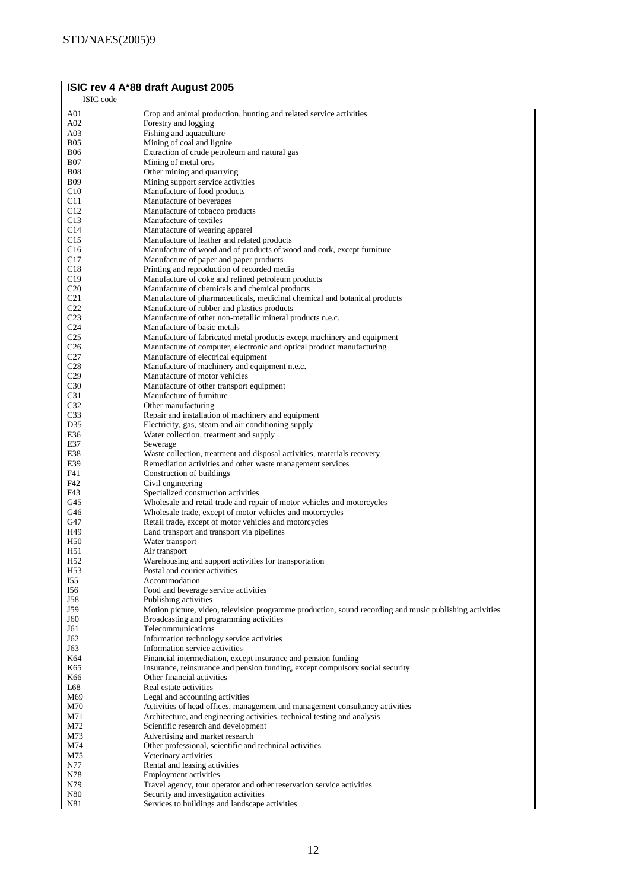|                          | ISIC rev 4 A*88 draft August 2005                                                                                                     |
|--------------------------|---------------------------------------------------------------------------------------------------------------------------------------|
| ISIC code                |                                                                                                                                       |
| A01                      | Crop and animal production, hunting and related service activities                                                                    |
| A02                      | Forestry and logging                                                                                                                  |
| A03                      | Fishing and aquaculture                                                                                                               |
| <b>B05</b>               | Mining of coal and lignite<br>Extraction of crude petroleum and natural gas                                                           |
| <b>B06</b><br><b>B07</b> | Mining of metal ores                                                                                                                  |
| <b>B08</b>               | Other mining and quarrying                                                                                                            |
| <b>B09</b>               | Mining support service activities                                                                                                     |
| C10                      | Manufacture of food products                                                                                                          |
| C11                      | Manufacture of beverages                                                                                                              |
| C12                      | Manufacture of tobacco products                                                                                                       |
| C13                      | Manufacture of textiles                                                                                                               |
| C14                      | Manufacture of wearing apparel                                                                                                        |
| C15                      | Manufacture of leather and related products                                                                                           |
| C16                      | Manufacture of wood and of products of wood and cork, except furniture                                                                |
| C <sub>17</sub><br>C18   | Manufacture of paper and paper products                                                                                               |
| C19                      | Printing and reproduction of recorded media<br>Manufacture of coke and refined petroleum products                                     |
| C20                      | Manufacture of chemicals and chemical products                                                                                        |
| C <sub>21</sub>          | Manufacture of pharmaceuticals, medicinal chemical and botanical products                                                             |
| C <sub>22</sub>          | Manufacture of rubber and plastics products                                                                                           |
| C <sub>23</sub>          | Manufacture of other non-metallic mineral products n.e.c.                                                                             |
| C <sub>24</sub>          | Manufacture of basic metals                                                                                                           |
| C <sub>25</sub>          | Manufacture of fabricated metal products except machinery and equipment                                                               |
| C <sub>26</sub>          | Manufacture of computer, electronic and optical product manufacturing                                                                 |
| C27                      | Manufacture of electrical equipment                                                                                                   |
| C28<br>C29               | Manufacture of machinery and equipment n.e.c.<br>Manufacture of motor vehicles                                                        |
| C30                      | Manufacture of other transport equipment                                                                                              |
| C <sub>31</sub>          | Manufacture of furniture                                                                                                              |
| C32                      | Other manufacturing                                                                                                                   |
| C33                      | Repair and installation of machinery and equipment                                                                                    |
| D35                      | Electricity, gas, steam and air conditioning supply                                                                                   |
| E36                      | Water collection, treatment and supply                                                                                                |
| E37                      | Sewerage                                                                                                                              |
| E38<br>E39               | Waste collection, treatment and disposal activities, materials recovery<br>Remediation activities and other waste management services |
| F41                      | Construction of buildings                                                                                                             |
| F42                      | Civil engineering                                                                                                                     |
| F43                      | Specialized construction activities                                                                                                   |
| G45                      | Wholesale and retail trade and repair of motor vehicles and motorcycles                                                               |
| G46                      | Wholesale trade, except of motor vehicles and motorcycles                                                                             |
| G47                      | Retail trade, except of motor vehicles and motorcycles                                                                                |
| H49                      | Land transport and transport via pipelines                                                                                            |
| H <sub>50</sub><br>H51   | Water transport<br>Air transport                                                                                                      |
| H <sub>52</sub>          | Warehousing and support activities for transportation                                                                                 |
| H <sub>53</sub>          | Postal and courier activities                                                                                                         |
| I55                      | Accommodation                                                                                                                         |
| I56                      | Food and beverage service activities                                                                                                  |
| J58                      | Publishing activities                                                                                                                 |
| J59                      | Motion picture, video, television programme production, sound recording and music publishing activities                               |
| J60<br>J61               | Broadcasting and programming activities<br>Telecommunications                                                                         |
| J62                      | Information technology service activities                                                                                             |
| J63                      | Information service activities                                                                                                        |
| K64                      | Financial intermediation, except insurance and pension funding                                                                        |
| K65                      | Insurance, reinsurance and pension funding, except compulsory social security                                                         |
| K66                      | Other financial activities                                                                                                            |
| L68                      | Real estate activities                                                                                                                |
| M69                      | Legal and accounting activities                                                                                                       |
| M70                      | Activities of head offices, management and management consultancy activities                                                          |
| M71                      | Architecture, and engineering activities, technical testing and analysis                                                              |
| M72<br>M73               | Scientific research and development<br>Advertising and market research                                                                |
| M74                      | Other professional, scientific and technical activities                                                                               |
| M75                      | Veterinary activities                                                                                                                 |
| N77                      | Rental and leasing activities                                                                                                         |
| N78                      | <b>Employment activities</b>                                                                                                          |
| N79                      | Travel agency, tour operator and other reservation service activities                                                                 |
| N80                      | Security and investigation activities                                                                                                 |
| N81                      | Services to buildings and landscape activities                                                                                        |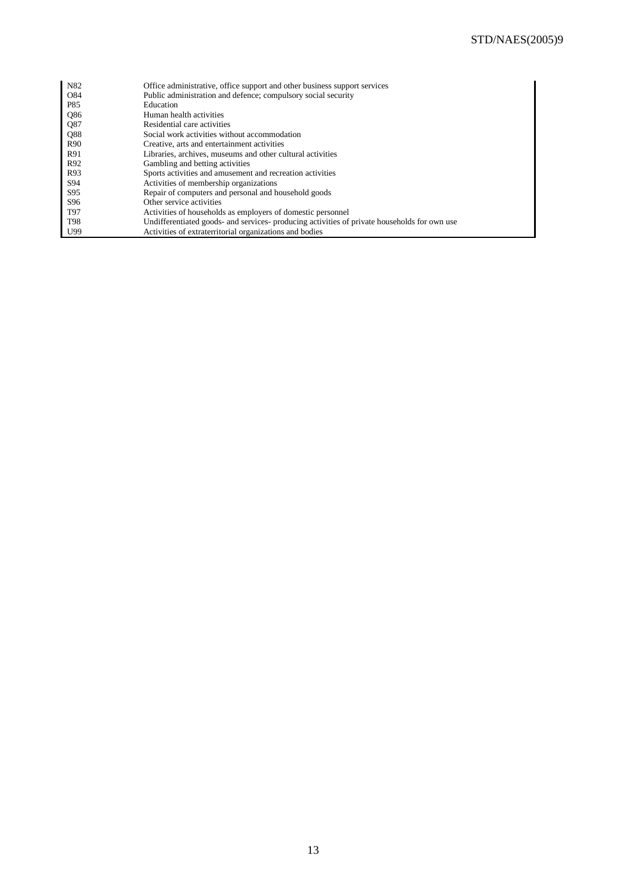| N82             | Office administrative, office support and other business support services                    |
|-----------------|----------------------------------------------------------------------------------------------|
| O84             | Public administration and defence; compulsory social security                                |
| P85             | Education                                                                                    |
| Q86             | Human health activities                                                                      |
| Q87             | Residential care activities                                                                  |
| Q88             | Social work activities without accommodation                                                 |
| R <sub>90</sub> | Creative, arts and entertainment activities                                                  |
| R91             | Libraries, archives, museums and other cultural activities                                   |
| R92             | Gambling and betting activities                                                              |
| R93             | Sports activities and amusement and recreation activities                                    |
| S94             | Activities of membership organizations                                                       |
| S95             | Repair of computers and personal and household goods                                         |
| S <sub>96</sub> | Other service activities                                                                     |
| T97             | Activities of households as employers of domestic personnel                                  |
| <b>T98</b>      | Undifferentiated goods- and services- producing activities of private households for own use |
| U99             | Activities of extraterritorial organizations and bodies                                      |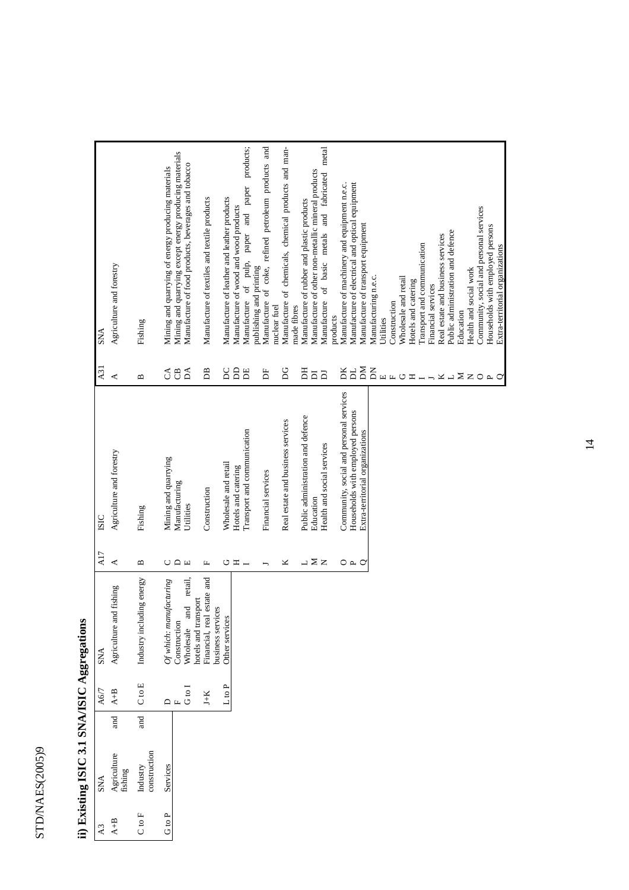| j          |
|------------|
|            |
|            |
| TCTC       |
|            |
|            |
|            |
| -<br> <br> |
| ;          |
|            |
| L C L U 1. |
|            |
|            |
|            |
|            |
|            |
|            |
|            |
|            |
| ľ          |
|            |
|            |

| A3         | <b>SNA</b>               |             | A6/7                         | <b>SNA</b>                 | A17               | <b>ISIC</b>                                                                 | A <sub>3</sub> 1              | SNA                                                                                              |
|------------|--------------------------|-------------|------------------------------|----------------------------|-------------------|-----------------------------------------------------------------------------|-------------------------------|--------------------------------------------------------------------------------------------------|
| $A + B$    | Agriculture<br>fishing   | <b>Tand</b> | $A + B$                      | Agriculture and fishing    | 4                 | Agriculture and forestry                                                    | ≺                             | Agriculture and forestry                                                                         |
| $C$ to $F$ | construction<br>Industry | and         | $C$ to $E$                   | Industry including energy  | $\mathbf{u}$      | Fishing                                                                     | $\mathbf{a}$                  | Fishing                                                                                          |
| G to P     | Services                 |             |                              | $Of$ which: manufacturing  |                   | Mining and quarrying                                                        |                               | Mining and quarrying of energy producing materials                                               |
|            |                          |             | $\Box$                       | Construction               | $C \cap E$        | Manufacturing                                                               | $\mathcal{L}$ 8               | Mining and quarrying except energy producing materials                                           |
|            |                          |             | G <sub>to</sub> <sub>I</sub> | Wholesale and retail,      |                   | Utilities                                                                   | ΔA                            | Manufacture of food products, beverages and tobacco                                              |
|            |                          |             |                              | hotels and transport       |                   |                                                                             |                               |                                                                                                  |
|            |                          |             | $J+K$                        | Financial, real estate and | щ                 | Construction                                                                | BB                            | Manufacture of textiles and textile products                                                     |
|            |                          |             |                              | business services          |                   |                                                                             |                               |                                                                                                  |
|            |                          |             | L to P                       | Other services             |                   | Wholesale and retail                                                        | <b>DC</b>                     | Manufacture of leather and leather products                                                      |
|            |                          |             |                              |                            | $\circ$ $\approx$ | Hotels and catering                                                         | $\mathsf{D}$                  | Manufacture of wood and wood products                                                            |
|            |                          |             |                              |                            |                   | Transport and communication                                                 | E                             | Manufacture of pulp, paper and paper products;                                                   |
|            |                          |             |                              |                            |                   |                                                                             |                               | publishing and printing                                                                          |
|            |                          |             |                              |                            |                   | Financial services                                                          | Ĕ                             | Manufacture of coke, refined petroleum products and                                              |
|            |                          |             |                              |                            | ×                 | Real estate and business services                                           | DG                            | Manufacture of chemicals, chemical products and man-<br>nuclear fuel                             |
|            |                          |             |                              |                            |                   |                                                                             |                               | made fibres                                                                                      |
|            |                          |             |                              |                            |                   | Public administration and defence                                           | H                             | Manufacture of rubber and plastic products                                                       |
|            |                          |             |                              |                            | → ∑ z             | Education                                                                   | $\overline{\mathsf{D}}$       | Manufacture of other non-metallic mineral products                                               |
|            |                          |             |                              |                            |                   | Health and social services                                                  | $\overline{\mathbf{D}}$       | Manufacture of basic metals and fabricated metal                                                 |
|            |                          |             |                              |                            |                   |                                                                             |                               | products                                                                                         |
|            |                          |             |                              |                            | O A O             | Community, social and personal services<br>Households with employed persons | DK<br>$\overline{\mathbf{p}}$ | Manufacture of machinery and equipment n.e.c.<br>Manufacture of electrical and optical equipment |
|            |                          |             |                              |                            |                   | Extra-territorial organizations                                             | ЫÃ                            | Manufacture of transport equipment                                                               |
|            |                          |             |                              |                            |                   |                                                                             | KQ                            | Manufacturing n.e.c.                                                                             |
|            |                          |             |                              |                            |                   |                                                                             |                               | Utilities                                                                                        |
|            |                          |             |                              |                            |                   |                                                                             | HHUH                          | Construction                                                                                     |
|            |                          |             |                              |                            |                   |                                                                             |                               | Wholesale and retail                                                                             |
|            |                          |             |                              |                            |                   |                                                                             |                               | Hotels and catering                                                                              |
|            |                          |             |                              |                            |                   |                                                                             |                               | Transport and communication                                                                      |
|            |                          |             |                              |                            |                   |                                                                             |                               | Financial services                                                                               |
|            |                          |             |                              |                            |                   |                                                                             | $H - X - Z Z O A O$           | Real estate and business services                                                                |
|            |                          |             |                              |                            |                   |                                                                             |                               | Public administration and defence                                                                |
|            |                          |             |                              |                            |                   |                                                                             |                               | Education                                                                                        |
|            |                          |             |                              |                            |                   |                                                                             |                               | Health and social work                                                                           |
|            |                          |             |                              |                            |                   |                                                                             |                               | Community, social and personal services                                                          |
|            |                          |             |                              |                            |                   |                                                                             |                               | Households with employed persons                                                                 |
|            |                          |             |                              |                            |                   |                                                                             |                               | Extra-territorial organizations                                                                  |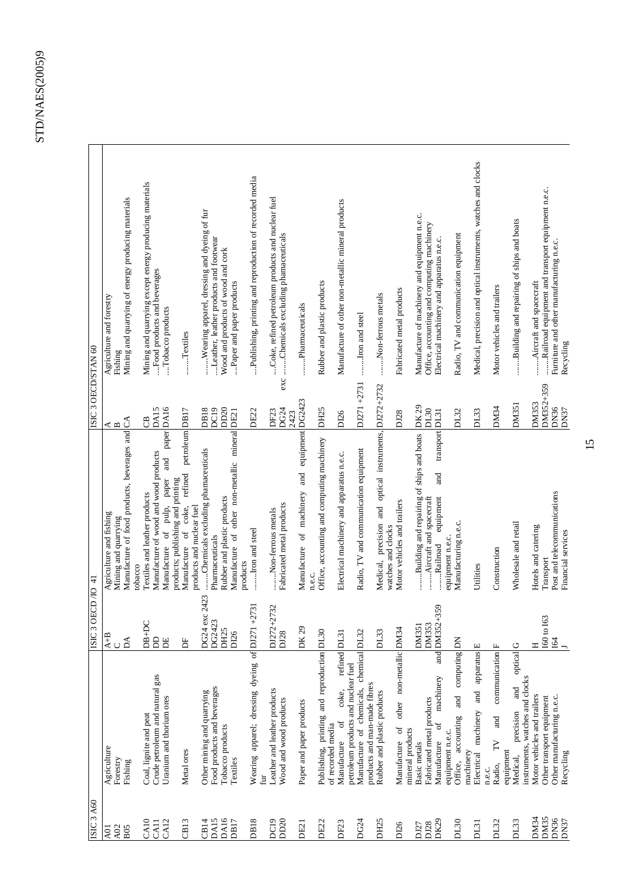| ISIC <sub>3</sub> A60           |                                                                      | OECD /IO 41<br>ISIC <sub>3</sub>    |                                                                                            | ISIC 3 OECD/STAN 60       |                                                                                                            |
|---------------------------------|----------------------------------------------------------------------|-------------------------------------|--------------------------------------------------------------------------------------------|---------------------------|------------------------------------------------------------------------------------------------------------|
|                                 |                                                                      |                                     |                                                                                            |                           |                                                                                                            |
| A01                             | Agriculture<br>Forestry                                              | $AC$<br>$BA$                        | Agriculture and fishing<br>Mining and quarrying                                            | Ą<br>$\mathbf{D}$         | Agriculture and forestry<br>Fishing                                                                        |
| $\frac{\text{A}02}{\text{B}05}$ | Fishing                                                              |                                     | Manufacture of food products, beverages and CA                                             |                           | Mining and quarrying of energy producing materials                                                         |
|                                 |                                                                      | ( )<br>$DB+DC$                      | Textiles and leather products<br>tobacco                                                   | CB                        |                                                                                                            |
| CAIO<br>CAII                    | Crude petroleum and natural gas<br>Coal, lignite and peat            | <b>B</b>                            | Manufacture of wood and wood products                                                      | DA15                      | Mining and quarrying except energy producing materials<br>Food products and beverages                      |
| CA <sub>12</sub>                | Uranium and thorium ores                                             | <b>BE</b>                           | paper DA16<br>and<br>of pulp, paper<br>Manufacture                                         |                           | Tobacco products                                                                                           |
|                                 |                                                                      |                                     | products; publishing and printing                                                          |                           |                                                                                                            |
| CB13                            | Metal ores                                                           | Ь                                   | petroleum DB17<br>refined<br>coke,<br>products and nuclear fuel<br>$\sigma$<br>Manufacture |                           | Textiles                                                                                                   |
| CB14                            | Other mining and quarrying                                           | DG24 exc 2423                       | Chemicals excluding phamaceuticals                                                         | <b>DB18</b>               | Wearing apparel, dressing and dyeing of fur                                                                |
| DA15                            | Food products and beverages                                          | DG2423                              | Pharmaceuticals                                                                            | DC19                      | Leather, leather products and footwear                                                                     |
| DA16                            | Tobacco products                                                     | DH <sub>25</sub>                    | Rubber and plastic products                                                                | DD <sub>20</sub>          | Wood and products of wood and cork                                                                         |
| DB17                            | Textiles                                                             | D <sub>126</sub>                    | Manufacture of other non-metallic mineral DE21<br>products                                 |                           | Paper and paper products                                                                                   |
| <b>DB18</b>                     | Wearing apparel; dressing dyeing of DJ271                            | $+2731$                             | Iron and steel                                                                             | DE22                      | Publishing, printing and reproduction of recorded media                                                    |
| DC19                            | Leather and leather products<br>fur                                  | $+2732$<br>DJ272+                   | Non-ferrous metals                                                                         | DF <sub>23</sub>          | Coke, refined petroleum products and nuclear fuel                                                          |
| DD <sub>20</sub>                | Wood and wood products                                               | D128                                | Fabricated metal products                                                                  | DG24                      | exc Chemicals excluding phamaceuticals                                                                     |
| DE21                            | Paper and paper products                                             | DK 29                               | Manufacture of machinery and equipment DG2423                                              | 2423                      | Pharmaceuticals                                                                                            |
|                                 |                                                                      |                                     | n.e.c.                                                                                     |                           |                                                                                                            |
| DE22                            | Publishing, printing and reproduction DL30<br>of recorded media      |                                     | Office, accounting and computing machinery                                                 | DH <sub>25</sub>          | Rubber and plastic products                                                                                |
| DF23                            | refined DL31<br>coke,<br><sub>0</sub> f<br>Manufacture               |                                     | Electrical machinery and apparatus n.e.c.                                                  | DI26                      | Manufacture of other non-metallic mineral products                                                         |
|                                 | petroleum products and nuclear fuel                                  |                                     |                                                                                            |                           |                                                                                                            |
| DG24                            | Manufacture of chemicals, chemical DL32                              |                                     | Radio, TV and communication equipment                                                      | DJ271+2731                | Iron and steel                                                                                             |
|                                 | products and man-made fibres                                         |                                     |                                                                                            |                           |                                                                                                            |
| DH25                            | Rubber and plastic products                                          | DL33                                | Medical, precision and optical instruments, DJ272+2732<br>watches and clocks               |                           | Non-ferrous metals                                                                                         |
| DI26                            | other non-metallic DM34<br>$\sigma$<br>Manufacture                   |                                     | Motor vehicles and trailers                                                                | DJ28                      | Fabricated metal products                                                                                  |
|                                 | mineral products                                                     |                                     |                                                                                            |                           |                                                                                                            |
| DJ27                            | Basic metals                                                         | <b>DM351</b>                        | Building and repairing of ships and boats                                                  | DK 29                     | Manufacture of machinery and equipment n.e.c.                                                              |
| DK29<br>DJ28                    | machinery<br>Fabricated metal products<br>đ<br>Manufacture           | $+359$<br><b>DM353</b><br>and DM352 | transport DL31<br>and<br>Aircraft and spacecraft<br>equipment<br>Railroad                  | DL30                      | Office, accounting and computing machinery<br>Electrical machinery and apparatus n.e.c.                    |
|                                 | equipment n.e.c.                                                     |                                     | equipment n.e.c.                                                                           |                           |                                                                                                            |
| DL30                            | computing DN<br>and<br>accounting<br>Office,                         |                                     | Manufacturing n.e.c.                                                                       | DL32                      | Radio, TV and communication equipment                                                                      |
| DI31                            | apparatus <sup>E</sup><br>and<br>Electrical machinery<br>machinery   |                                     | Utilities                                                                                  | DL33                      | Medical, precision and optical instruments, watches and clocks                                             |
|                                 | n.e.c.                                                               |                                     |                                                                                            |                           |                                                                                                            |
| DL32                            | communication F<br>and<br>$\geq$<br>Radio,                           |                                     | Construction                                                                               | DM34                      | Motor vehicles and trailers                                                                                |
| DL33                            | optical<br>and<br>precision<br>equipment<br>Medical,                 | $\circ$                             | Wholesale and retail                                                                       | DM351                     | Building and repairing of ships and boats                                                                  |
| DM34                            | instruments, watches and clocks<br>Motor vehicles and trailers       | Η                                   | Hotels and catering                                                                        | <b>DM353</b>              | Aircraft and spacecraft                                                                                    |
| DM35<br>DN36<br>DN37            | Other manufacturing n.e.c.<br>Other transport equipment<br>Recycling | 63<br>160 to<br>I&                  | Post and telecommunications<br>Financial services<br>Transport                             | DM352+359<br>DN36<br>DN37 | Railroad equipment and transport equipment n.e.c.<br>Furniture and other manufacturing n.e.c.<br>Recycling |
|                                 |                                                                      |                                     |                                                                                            |                           |                                                                                                            |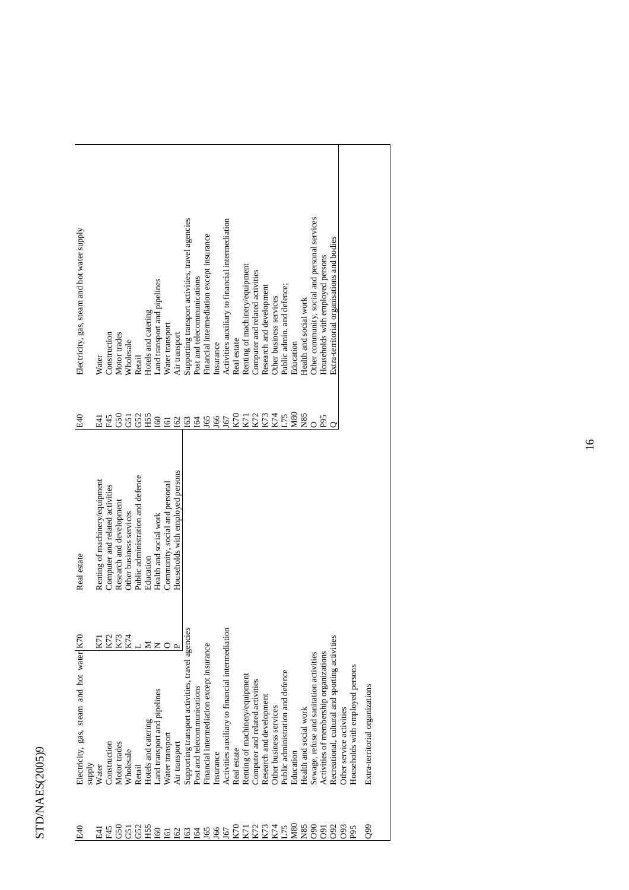## STD/NAES(2005)9 STD/NAES(2005)9

| E40               | Electricity, gas, steam and hot water K70        |     | Real estate                       | E40             | Electricity, gas, steam and hot water supply     |
|-------------------|--------------------------------------------------|-----|-----------------------------------|-----------------|--------------------------------------------------|
|                   | <b>Alddns</b>                                    |     |                                   |                 |                                                  |
| 된                 | Water                                            | K7I | Renting of machinery/equipment    | E4              | Water                                            |
| F45               | Construction                                     | K72 | Computer and related activities   | F45             | Construction                                     |
| G50               | Motor trades                                     | K73 | Research and development          | G50             | Motor trades                                     |
| $\overline{5}$    | Wholesale                                        | K74 | Other business services           | 51              | Wholesale                                        |
|                   | Retail                                           |     | Public administration and defence | G52             | Retail                                           |
| GS2<br>HSS        | Hotels and catering                              | ⊠   | Education                         | H <sub>55</sub> | Hotels and catering                              |
| <b>SO</b>         | Land transport and pipelines                     |     | Health and social work            | <b>SO</b>       | Land transport and pipelines                     |
| $\overline{161}$  | Water transport                                  |     | Community, social and personal    | I61             | Water transport                                  |
| <b>S</b> 2        | Air transport                                    |     | Households with employed persons  | <b>I62</b>      | Air transport                                    |
|                   | Supporting transport activities, travel agencies |     |                                   | I63             | Supporting transport activities, travel agencies |
| 191               | Post and telecommunications                      |     |                                   | <b>I64</b>      | Post and telecommunications                      |
|                   | Financial intermediation except insurance        |     |                                   | J65             | Financial intermediation except insurance        |
| <b>J65</b>        | Insurance                                        |     |                                   | J66             | Insurance                                        |
| <b>191</b>        | Activities auxiliary to financial intermediation |     |                                   | J67             | Activities auxiliary to financial intermediation |
| K70               | Real estate                                      |     |                                   | K70             | Real estate                                      |
| K71               | Renting of machinery/equipment                   |     |                                   | K71             | Renting of machinery/equipment                   |
|                   | Computer and related activities                  |     |                                   | K72             | Computer and related activities                  |
| K72<br>K73        | Research and development                         |     |                                   | K73             | Research and development                         |
|                   | Other business services                          |     |                                   | K74             | Other business services                          |
| K74<br>L75<br>M80 | Public administration and defence                |     |                                   | L75             | Public admin. and defence;                       |
|                   | Education                                        |     |                                   | <b>M80</b>      | Education                                        |
| N85               | Health and social work                           |     |                                   | N85             | Health and social work                           |
| 090               | Sewage, refuse and sanitation activities         |     |                                   |                 | Other community, social and personal services    |
| 091               | Activities of membership organizations           |     |                                   | P <sub>95</sub> | Households with employed persons                 |
| 092               | Recreational, cultural and sporting activities   |     |                                   |                 | Extra-territorial organisations and bodies       |
| 093               | Other service activities                         |     |                                   |                 |                                                  |
| P <sub>95</sub>   | Households with employed persons                 |     |                                   |                 |                                                  |
| $^{66}$           | Extra-territorial organizations                  |     |                                   |                 |                                                  |